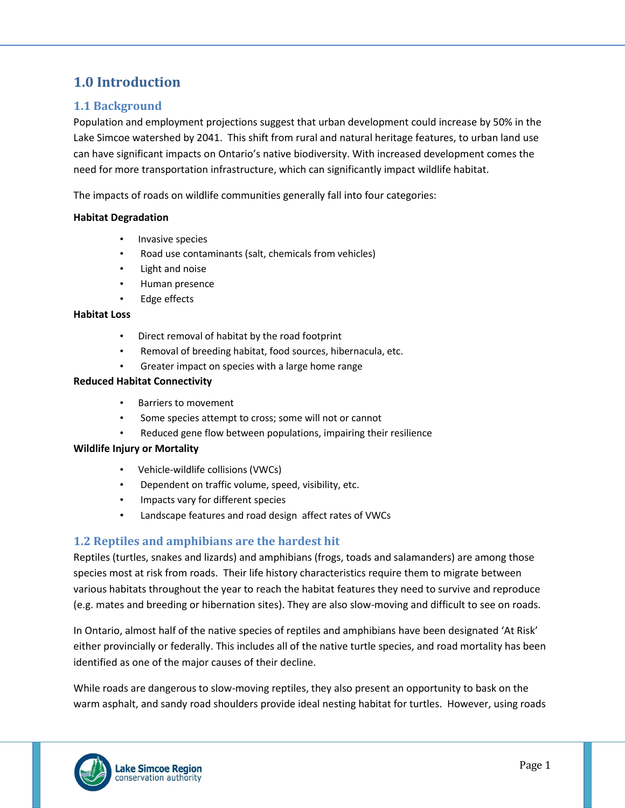# **1.0 Introduction**

### **1.1 Background**

Population and employment projections suggest that urban development could increase by 50% in the Lake Simcoe watershed by 2041. This shift from rural and natural heritage features, to urban land use can have significant impacts on Ontario's native biodiversity. With increased development comes the need for more transportation infrastructure, which can significantly impact wildlife habitat.

The impacts of roads on wildlife communities generally fall into four categories:

#### **Habitat Degradation**

- Invasive species
- Road use contaminants (salt, chemicals from vehicles)
- Light and noise
- Human presence
- Edge effects

#### **Habitat Loss**

- Direct removal of habitat by the road footprint
- Removal of breeding habitat, food sources, hibernacula, etc.
- Greater impact on species with a large home range

#### **Reduced Habitat Connectivity**

- Barriers to movement
- Some species attempt to cross; some will not or cannot
- Reduced gene flow between populations, impairing their resilience

#### **Wildlife Injury or Mortality**

- Vehicle-wildlife collisions (VWCs)
- Dependent on traffic volume, speed, visibility, etc.
- Impacts vary for different species
- Landscape features and road design affect rates of VWCs

### **1.2 Reptiles and amphibians are the hardest hit**

Reptiles (turtles, snakes and lizards) and amphibians (frogs, toads and salamanders) are among those species most at risk from roads. Their life history characteristics require them to migrate between various habitats throughout the year to reach the habitat features they need to survive and reproduce (e.g. mates and breeding or hibernation sites). They are also slow-moving and difficult to see on roads.

In Ontario, almost half of the native species of reptiles and amphibians have been designated 'At Risk' either provincially or federally. This includes all of the native turtle species, and road mortality has been identified as one of the major causes of their decline.

While roads are dangerous to slow-moving reptiles, they also present an opportunity to bask on the warm asphalt, and sandy road shoulders provide ideal nesting habitat for turtles. However, using roads

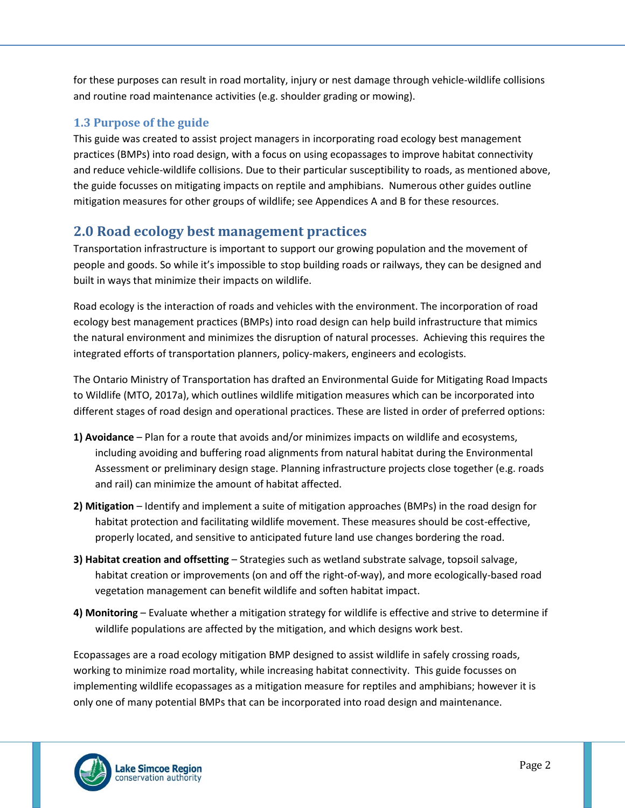for these purposes can result in road mortality, injury or nest damage through vehicle-wildlife collisions and routine road maintenance activities (e.g. shoulder grading or mowing).

### **1.3 Purpose of the guide**

This guide was created to assist project managers in incorporating road ecology best management practices (BMPs) into road design, with a focus on using ecopassages to improve habitat connectivity and reduce vehicle-wildlife collisions. Due to their particular susceptibility to roads, as mentioned above, the guide focusses on mitigating impacts on reptile and amphibians. Numerous other guides outline mitigation measures for other groups of wildlife; see Appendices A and B for these resources.

# **2.0 Road ecology best management practices**

Transportation infrastructure is important to support our growing population and the movement of people and goods. So while it's impossible to stop building roads or railways, they can be designed and built in ways that minimize their impacts on wildlife.

Road ecology is the interaction of roads and vehicles with the environment. The incorporation of road ecology best management practices (BMPs) into road design can help build infrastructure that mimics the natural environment and minimizes the disruption of natural processes. Achieving this requires the integrated efforts of transportation planners, policy-makers, engineers and ecologists.

The Ontario Ministry of Transportation has drafted an Environmental Guide for Mitigating Road Impacts to Wildlife (MTO, 2017a), which outlines wildlife mitigation measures which can be incorporated into different stages of road design and operational practices. These are listed in order of preferred options:

- **1) Avoidance**  Plan for a route that avoids and/or minimizes impacts on wildlife and ecosystems, including avoiding and buffering road alignments from natural habitat during the Environmental Assessment or preliminary design stage. Planning infrastructure projects close together (e.g. roads and rail) can minimize the amount of habitat affected.
- **2) Mitigation**  Identify and implement a suite of mitigation approaches (BMPs) in the road design for habitat protection and facilitating wildlife movement. These measures should be cost-effective, properly located, and sensitive to anticipated future land use changes bordering the road.
- **3) Habitat creation and offsetting** Strategies such as wetland substrate salvage, topsoil salvage, habitat creation or improvements (on and off the right-of-way), and more ecologically-based road vegetation management can benefit wildlife and soften habitat impact.
- **4) Monitoring** Evaluate whether a mitigation strategy for wildlife is effective and strive to determine if wildlife populations are affected by the mitigation, and which designs work best.

Ecopassages are a road ecology mitigation BMP designed to assist wildlife in safely crossing roads, working to minimize road mortality, while increasing habitat connectivity. This guide focusses on implementing wildlife ecopassages as a mitigation measure for reptiles and amphibians; however it is only one of many potential BMPs that can be incorporated into road design and maintenance.

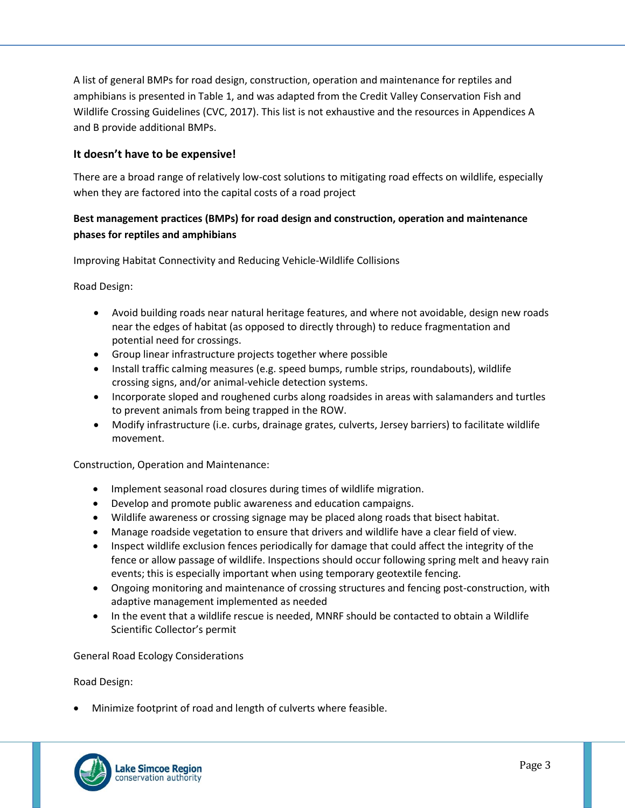A list of general BMPs for road design, construction, operation and maintenance for reptiles and amphibians is presented in Table 1, and was adapted from the Credit Valley Conservation Fish and Wildlife Crossing Guidelines (CVC, 2017). This list is not exhaustive and the resources in Appendices A and B provide additional BMPs.

### **It doesn't have to be expensive!**

There are a broad range of relatively low-cost solutions to mitigating road effects on wildlife, especially when they are factored into the capital costs of a road project

### **Best management practices (BMPs) for road design and construction, operation and maintenance phases for reptiles and amphibians**

Improving Habitat Connectivity and Reducing Vehicle-Wildlife Collisions

Road Design:

- Avoid building roads near natural heritage features, and where not avoidable, design new roads near the edges of habitat (as opposed to directly through) to reduce fragmentation and potential need for crossings.
- Group linear infrastructure projects together where possible
- Install traffic calming measures (e.g. speed bumps, rumble strips, roundabouts), wildlife crossing signs, and/or animal-vehicle detection systems.
- Incorporate sloped and roughened curbs along roadsides in areas with salamanders and turtles to prevent animals from being trapped in the ROW.
- Modify infrastructure (i.e. curbs, drainage grates, culverts, Jersey barriers) to facilitate wildlife movement.

Construction, Operation and Maintenance:

- Implement seasonal road closures during times of wildlife migration.
- Develop and promote public awareness and education campaigns.
- Wildlife awareness or crossing signage may be placed along roads that bisect habitat.
- Manage roadside vegetation to ensure that drivers and wildlife have a clear field of view.
- Inspect wildlife exclusion fences periodically for damage that could affect the integrity of the fence or allow passage of wildlife. Inspections should occur following spring melt and heavy rain events; this is especially important when using temporary geotextile fencing.
- Ongoing monitoring and maintenance of crossing structures and fencing post-construction, with adaptive management implemented as needed
- In the event that a wildlife rescue is needed, MNRF should be contacted to obtain a Wildlife Scientific Collector's permit

General Road Ecology Considerations

Road Design:

Minimize footprint of road and length of culverts where feasible.

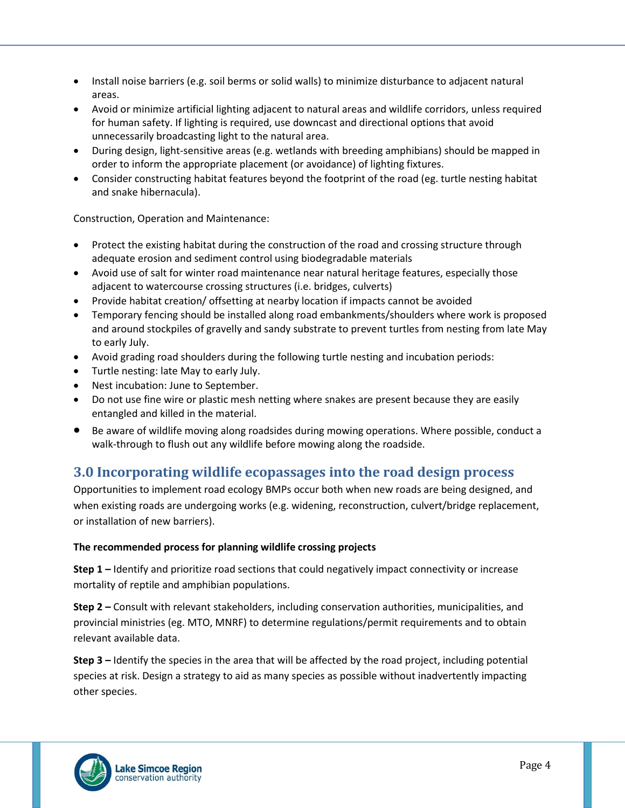- Install noise barriers (e.g. soil berms or solid walls) to minimize disturbance to adjacent natural areas.
- Avoid or minimize artificial lighting adjacent to natural areas and wildlife corridors, unless required for human safety. If lighting is required, use downcast and directional options that avoid unnecessarily broadcasting light to the natural area.
- During design, light-sensitive areas (e.g. wetlands with breeding amphibians) should be mapped in order to inform the appropriate placement (or avoidance) of lighting fixtures.
- Consider constructing habitat features beyond the footprint of the road (eg. turtle nesting habitat and snake hibernacula).

Construction, Operation and Maintenance:

- Protect the existing habitat during the construction of the road and crossing structure through adequate erosion and sediment control using biodegradable materials
- Avoid use of salt for winter road maintenance near natural heritage features, especially those adjacent to watercourse crossing structures (i.e. bridges, culverts)
- Provide habitat creation/ offsetting at nearby location if impacts cannot be avoided
- Temporary fencing should be installed along road embankments/shoulders where work is proposed and around stockpiles of gravelly and sandy substrate to prevent turtles from nesting from late May to early July.
- Avoid grading road shoulders during the following turtle nesting and incubation periods:
- Turtle nesting: late May to early July.
- Nest incubation: June to September.
- Do not use fine wire or plastic mesh netting where snakes are present because they are easily entangled and killed in the material.
- Be aware of wildlife moving along roadsides during mowing operations. Where possible, conduct a walk-through to flush out any wildlife before mowing along the roadside.

# **3.0 Incorporating wildlife ecopassages into the road design process**

Opportunities to implement road ecology BMPs occur both when new roads are being designed, and when existing roads are undergoing works (e.g. widening, reconstruction, culvert/bridge replacement, or installation of new barriers).

### **The recommended process for planning wildlife crossing projects**

**Step 1 –** Identify and prioritize road sections that could negatively impact connectivity or increase mortality of reptile and amphibian populations.

**Step 2 –** Consult with relevant stakeholders, including conservation authorities, municipalities, and provincial ministries (eg. MTO, MNRF) to determine regulations/permit requirements and to obtain relevant available data.

**Step 3 –** Identify the species in the area that will be affected by the road project, including potential species at risk. Design a strategy to aid as many species as possible without inadvertently impacting other species.

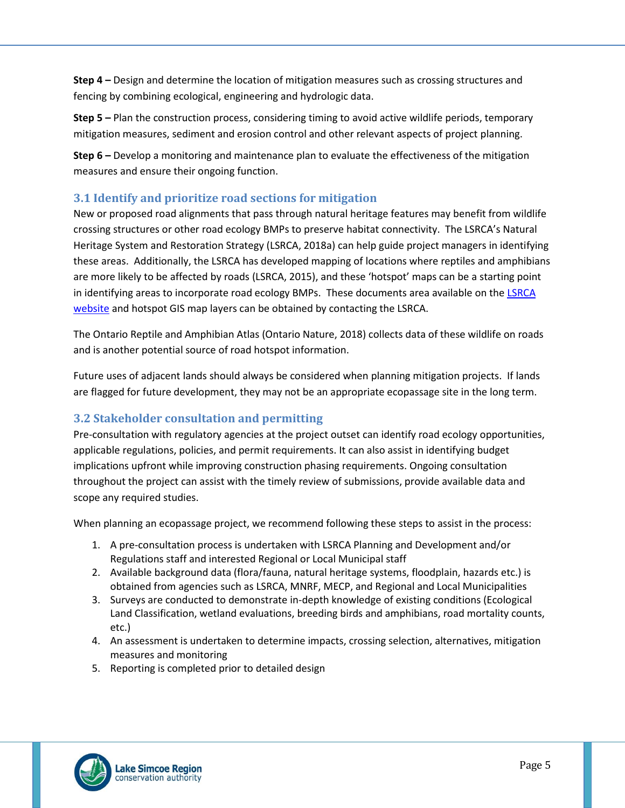**Step 4 –** Design and determine the location of mitigation measures such as crossing structures and fencing by combining ecological, engineering and hydrologic data.

**Step 5 –** Plan the construction process, considering timing to avoid active wildlife periods, temporary mitigation measures, sediment and erosion control and other relevant aspects of project planning.

**Step 6 –** Develop a monitoring and maintenance plan to evaluate the effectiveness of the mitigation measures and ensure their ongoing function.

### **3.1 Identify and prioritize road sections for mitigation**

New or proposed road alignments that pass through natural heritage features may benefit from wildlife crossing structures or other road ecology BMPs to preserve habitat connectivity. The LSRCA's Natural Heritage System and Restoration Strategy (LSRCA, 2018a) can help guide project managers in identifying these areas. Additionally, the LSRCA has developed mapping of locations where reptiles and amphibians are more likely to be affected by roads (LSRCA, 2015), and these 'hotspot' maps can be a starting point in identifying areas to incorporate road ecology BMPs. These documents area available on the [LSRCA](http://www.lsrca.on.ca/)  [website](http://www.lsrca.on.ca/) and hotspot GIS map layers can be obtained by contacting the LSRCA.

The Ontario Reptile and Amphibian Atlas (Ontario Nature, 2018) collects data of these wildlife on roads and is another potential source of road hotspot information.

Future uses of adjacent lands should always be considered when planning mitigation projects. If lands are flagged for future development, they may not be an appropriate ecopassage site in the long term.

## **3.2 Stakeholder consultation and permitting**

Pre-consultation with regulatory agencies at the project outset can identify road ecology opportunities, applicable regulations, policies, and permit requirements. It can also assist in identifying budget implications upfront while improving construction phasing requirements. Ongoing consultation throughout the project can assist with the timely review of submissions, provide available data and scope any required studies.

When planning an ecopassage project, we recommend following these steps to assist in the process:

- 1. A pre-consultation process is undertaken with LSRCA Planning and Development and/or Regulations staff and interested Regional or Local Municipal staff
- 2. Available background data (flora/fauna, natural heritage systems, floodplain, hazards etc.) is obtained from agencies such as LSRCA, MNRF, MECP, and Regional and Local Municipalities
- 3. Surveys are conducted to demonstrate in-depth knowledge of existing conditions (Ecological Land Classification, wetland evaluations, breeding birds and amphibians, road mortality counts, etc.)
- 4. An assessment is undertaken to determine impacts, crossing selection, alternatives, mitigation measures and monitoring
- 5. Reporting is completed prior to detailed design

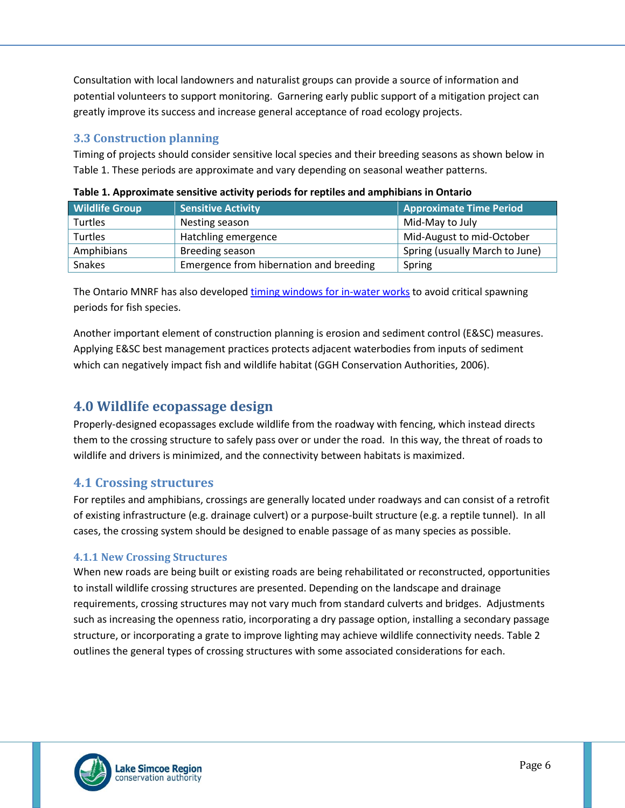Consultation with local landowners and naturalist groups can provide a source of information and potential volunteers to support monitoring. Garnering early public support of a mitigation project can greatly improve its success and increase general acceptance of road ecology projects.

## **3.3 Construction planning**

Timing of projects should consider sensitive local species and their breeding seasons as shown below in Table 1. These periods are approximate and vary depending on seasonal weather patterns.

| <b>Wildlife Group</b> | <b>Sensitive Activity</b>               | <b>Approximate Time Period</b> |
|-----------------------|-----------------------------------------|--------------------------------|
| Turtles               | Nesting season                          | Mid-May to July                |
| Turtles               | Hatchling emergence                     | Mid-August to mid-October      |
| Amphibians            | Breeding season                         | Spring (usually March to June) |
| <b>Snakes</b>         | Emergence from hibernation and breeding | Spring                         |

| Table 1. Approximate sensitive activity periods for reptiles and amphibians in Ontario |  |  |  |
|----------------------------------------------------------------------------------------|--|--|--|
|----------------------------------------------------------------------------------------|--|--|--|

The Ontario MNRF has also develope[d timing windows for in-water works](https://www.ontario.ca/document/water-work-timing-window-guidelines) to avoid critical spawning periods for fish species.

Another important element of construction planning is erosion and sediment control (E&SC) measures. Applying E&SC best management practices protects adjacent waterbodies from inputs of sediment which can negatively impact fish and wildlife habitat (GGH Conservation Authorities, 2006).

# **4.0 Wildlife ecopassage design**

Properly-designed ecopassages exclude wildlife from the roadway with fencing, which instead directs them to the crossing structure to safely pass over or under the road. In this way, the threat of roads to wildlife and drivers is minimized, and the connectivity between habitats is maximized.

## **4.1 Crossing structures**

For reptiles and amphibians, crossings are generally located under roadways and can consist of a retrofit of existing infrastructure (e.g. drainage culvert) or a purpose-built structure (e.g. a reptile tunnel). In all cases, the crossing system should be designed to enable passage of as many species as possible.

### **4.1.1 New Crossing Structures**

When new roads are being built or existing roads are being rehabilitated or reconstructed, opportunities to install wildlife crossing structures are presented. Depending on the landscape and drainage requirements, crossing structures may not vary much from standard culverts and bridges. Adjustments such as increasing the openness ratio, incorporating a dry passage option, installing a secondary passage structure, or incorporating a grate to improve lighting may achieve wildlife connectivity needs. Table 2 outlines the general types of crossing structures with some associated considerations for each.

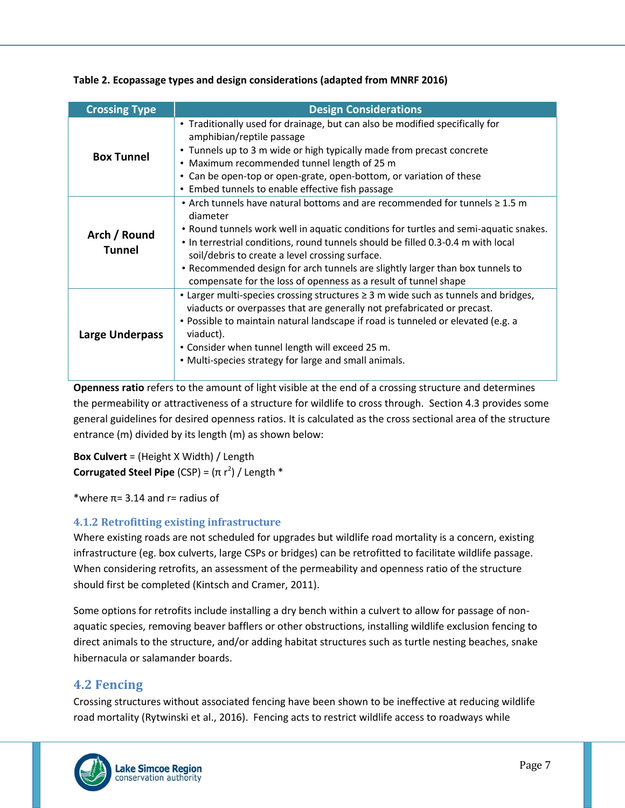**Table 2. Ecopassage types and design considerations (adapted from MNRF 2016)**

| <b>Crossing Type</b>          | <b>Design Considerations</b>                                                                                                                                                                                                                                                                                                                                                                                                                                                    |
|-------------------------------|---------------------------------------------------------------------------------------------------------------------------------------------------------------------------------------------------------------------------------------------------------------------------------------------------------------------------------------------------------------------------------------------------------------------------------------------------------------------------------|
| <b>Box Tunnel</b>             | • Traditionally used for drainage, but can also be modified specifically for<br>amphibian/reptile passage<br>• Tunnels up to 3 m wide or high typically made from precast concrete<br>• Maximum recommended tunnel length of 25 m<br>• Can be open-top or open-grate, open-bottom, or variation of these<br>• Embed tunnels to enable effective fish passage                                                                                                                    |
| Arch / Round<br><b>Tunnel</b> | • Arch tunnels have natural bottoms and are recommended for tunnels $\geq 1.5$ m<br>diameter<br>• Round tunnels work well in aquatic conditions for turtles and semi-aquatic snakes.<br>. In terrestrial conditions, round tunnels should be filled 0.3-0.4 m with local<br>soil/debris to create a level crossing surface.<br>• Recommended design for arch tunnels are slightly larger than box tunnels to<br>compensate for the loss of openness as a result of tunnel shape |
| <b>Large Underpass</b>        | • Larger multi-species crossing structures $\geq 3$ m wide such as tunnels and bridges,<br>viaducts or overpasses that are generally not prefabricated or precast.<br>• Possible to maintain natural landscape if road is tunneled or elevated (e.g. a<br>viaduct).<br>• Consider when tunnel length will exceed 25 m.<br>• Multi-species strategy for large and small animals.                                                                                                 |

**Openness ratio** refers to the amount of light visible at the end of a crossing structure and determines the permeability or attractiveness of a structure for wildlife to cross through. Section 4.3 provides some general guidelines for desired openness ratios. It is calculated as the cross sectional area of the structure entrance (m) divided by its length (m) as shown below:

**Box Culvert** = (Height X Width) / Length **Corrugated Steel Pipe** (CSP) =  $(\pi r^2)$  / Length \*

\*where  $\pi$ = 3.14 and r= radius of

## **4.1.2 Retrofitting existing infrastructure**

Where existing roads are not scheduled for upgrades but wildlife road mortality is a concern, existing infrastructure (eg. box culverts, large CSPs or bridges) can be retrofitted to facilitate wildlife passage. When considering retrofits, an assessment of the permeability and openness ratio of the structure should first be completed (Kintsch and Cramer, 2011).

Some options for retrofits include installing a dry bench within a culvert to allow for passage of nonaquatic species, removing beaver bafflers or other obstructions, installing wildlife exclusion fencing to direct animals to the structure, and/or adding habitat structures such as turtle nesting beaches, snake hibernacula or salamander boards.

# **4.2 Fencing**

Crossing structures without associated fencing have been shown to be ineffective at reducing wildlife road mortality (Rytwinski et al., 2016). Fencing acts to restrict wildlife access to roadways while

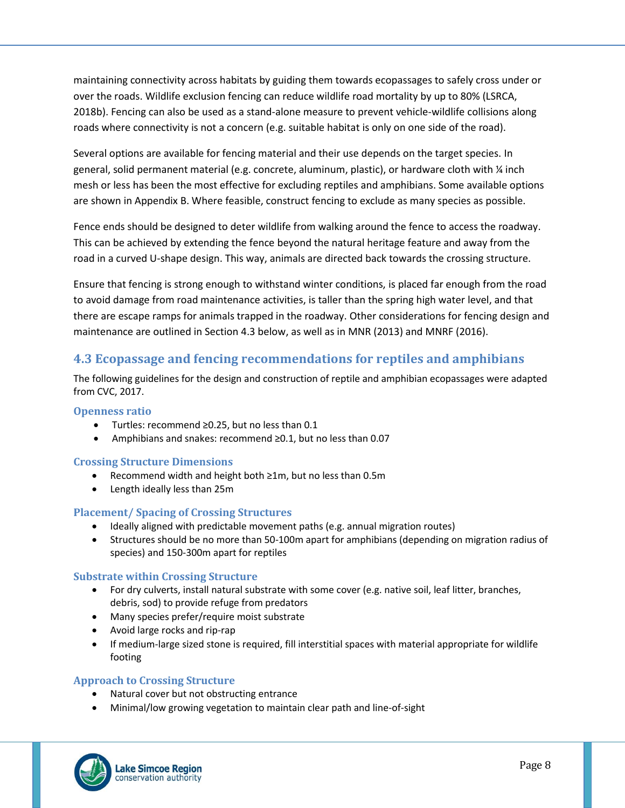maintaining connectivity across habitats by guiding them towards ecopassages to safely cross under or over the roads. Wildlife exclusion fencing can reduce wildlife road mortality by up to 80% (LSRCA, 2018b). Fencing can also be used as a stand-alone measure to prevent vehicle-wildlife collisions along roads where connectivity is not a concern (e.g. suitable habitat is only on one side of the road).

Several options are available for fencing material and their use depends on the target species. In general, solid permanent material (e.g. concrete, aluminum, plastic), or hardware cloth with ¼ inch mesh or less has been the most effective for excluding reptiles and amphibians. Some available options are shown in Appendix B. Where feasible, construct fencing to exclude as many species as possible.

Fence ends should be designed to deter wildlife from walking around the fence to access the roadway. This can be achieved by extending the fence beyond the natural heritage feature and away from the road in a curved U-shape design. This way, animals are directed back towards the crossing structure.

Ensure that fencing is strong enough to withstand winter conditions, is placed far enough from the road to avoid damage from road maintenance activities, is taller than the spring high water level, and that there are escape ramps for animals trapped in the roadway. Other considerations for fencing design and maintenance are outlined in Section 4.3 below, as well as in MNR (2013) and MNRF (2016).

### **4.3 Ecopassage and fencing recommendations for reptiles and amphibians**

The following guidelines for the design and construction of reptile and amphibian ecopassages were adapted from CVC, 2017.

#### **Openness ratio**

- Turtles: recommend ≥0.25, but no less than 0.1
- Amphibians and snakes: recommend ≥0.1, but no less than 0.07

### **Crossing Structure Dimensions**

- Recommend width and height both ≥1m, but no less than 0.5m
- Length ideally less than 25m

#### **Placement/ Spacing of Crossing Structures**

- Ideally aligned with predictable movement paths (e.g. annual migration routes)
- Structures should be no more than 50-100m apart for amphibians (depending on migration radius of species) and 150-300m apart for reptiles

#### **Substrate within Crossing Structure**

- For dry culverts, install natural substrate with some cover (e.g. native soil, leaf litter, branches, debris, sod) to provide refuge from predators
- Many species prefer/require moist substrate
- Avoid large rocks and rip-rap
- If medium-large sized stone is required, fill interstitial spaces with material appropriate for wildlife footing

#### **Approach to Crossing Structure**

- Natural cover but not obstructing entrance
- Minimal/low growing vegetation to maintain clear path and line-of-sight

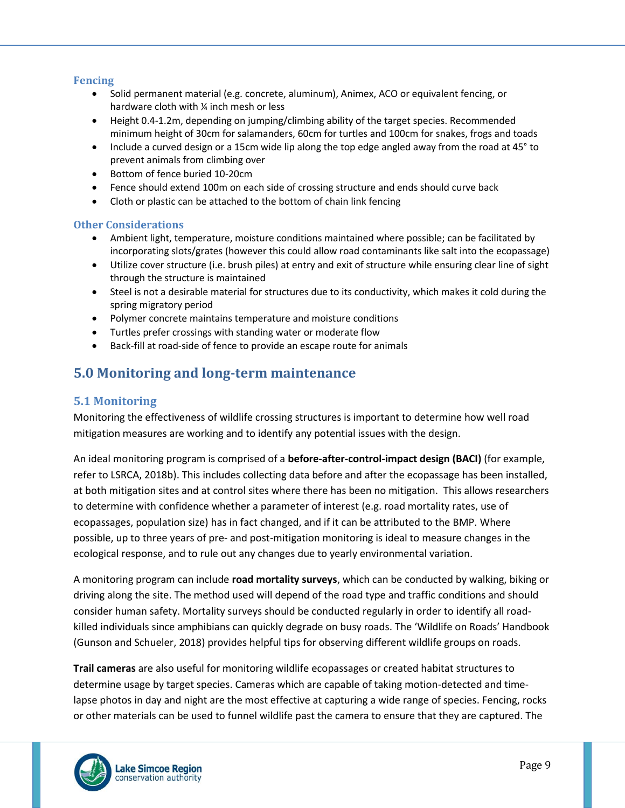#### **Fencing**

- Solid permanent material (e.g. concrete, aluminum), Animex, ACO or equivalent fencing, or hardware cloth with ¼ inch mesh or less
- Height 0.4-1.2m, depending on jumping/climbing ability of the target species. Recommended minimum height of 30cm for salamanders, 60cm for turtles and 100cm for snakes, frogs and toads
- Include a curved design or a 15cm wide lip along the top edge angled away from the road at 45° to prevent animals from climbing over
- Bottom of fence buried 10-20cm
- Fence should extend 100m on each side of crossing structure and ends should curve back
- Cloth or plastic can be attached to the bottom of chain link fencing

#### **Other Considerations**

- Ambient light, temperature, moisture conditions maintained where possible; can be facilitated by incorporating slots/grates (however this could allow road contaminants like salt into the ecopassage)
- Utilize cover structure (i.e. brush piles) at entry and exit of structure while ensuring clear line of sight through the structure is maintained
- Steel is not a desirable material for structures due to its conductivity, which makes it cold during the spring migratory period
- Polymer concrete maintains temperature and moisture conditions
- Turtles prefer crossings with standing water or moderate flow
- Back-fill at road-side of fence to provide an escape route for animals

# **5.0 Monitoring and long-term maintenance**

### **5.1 Monitoring**

Monitoring the effectiveness of wildlife crossing structures is important to determine how well road mitigation measures are working and to identify any potential issues with the design.

An ideal monitoring program is comprised of a **before-after-control-impact design (BACI)** (for example, refer to LSRCA, 2018b). This includes collecting data before and after the ecopassage has been installed, at both mitigation sites and at control sites where there has been no mitigation. This allows researchers to determine with confidence whether a parameter of interest (e.g. road mortality rates, use of ecopassages, population size) has in fact changed, and if it can be attributed to the BMP. Where possible, up to three years of pre- and post-mitigation monitoring is ideal to measure changes in the ecological response, and to rule out any changes due to yearly environmental variation.

A monitoring program can include **road mortality surveys**, which can be conducted by walking, biking or driving along the site. The method used will depend of the road type and traffic conditions and should consider human safety. Mortality surveys should be conducted regularly in order to identify all roadkilled individuals since amphibians can quickly degrade on busy roads. The 'Wildlife on Roads' Handbook (Gunson and Schueler, 2018) provides helpful tips for observing different wildlife groups on roads.

**Trail cameras** are also useful for monitoring wildlife ecopassages or created habitat structures to determine usage by target species. Cameras which are capable of taking motion-detected and timelapse photos in day and night are the most effective at capturing a wide range of species. Fencing, rocks or other materials can be used to funnel wildlife past the camera to ensure that they are captured. The

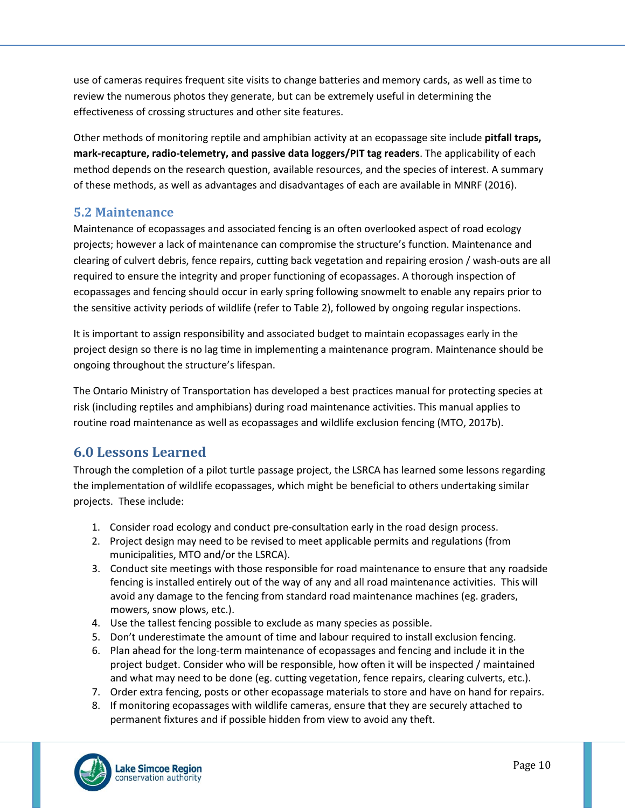use of cameras requires frequent site visits to change batteries and memory cards, as well as time to review the numerous photos they generate, but can be extremely useful in determining the effectiveness of crossing structures and other site features.

Other methods of monitoring reptile and amphibian activity at an ecopassage site include **pitfall traps, mark-recapture, radio-telemetry, and passive data loggers/PIT tag readers**. The applicability of each method depends on the research question, available resources, and the species of interest. A summary of these methods, as well as advantages and disadvantages of each are available in MNRF (2016).

## **5.2 Maintenance**

Maintenance of ecopassages and associated fencing is an often overlooked aspect of road ecology projects; however a lack of maintenance can compromise the structure's function. Maintenance and clearing of culvert debris, fence repairs, cutting back vegetation and repairing erosion / wash-outs are all required to ensure the integrity and proper functioning of ecopassages. A thorough inspection of ecopassages and fencing should occur in early spring following snowmelt to enable any repairs prior to the sensitive activity periods of wildlife (refer to Table 2), followed by ongoing regular inspections.

It is important to assign responsibility and associated budget to maintain ecopassages early in the project design so there is no lag time in implementing a maintenance program. Maintenance should be ongoing throughout the structure's lifespan.

The Ontario Ministry of Transportation has developed a best practices manual for protecting species at risk (including reptiles and amphibians) during road maintenance activities. This manual applies to routine road maintenance as well as ecopassages and wildlife exclusion fencing (MTO, 2017b).

# **6.0 Lessons Learned**

Through the completion of a pilot turtle passage project, the LSRCA has learned some lessons regarding the implementation of wildlife ecopassages, which might be beneficial to others undertaking similar projects. These include:

- 1. Consider road ecology and conduct pre-consultation early in the road design process.
- 2. Project design may need to be revised to meet applicable permits and regulations (from municipalities, MTO and/or the LSRCA).
- 3. Conduct site meetings with those responsible for road maintenance to ensure that any roadside fencing is installed entirely out of the way of any and all road maintenance activities. This will avoid any damage to the fencing from standard road maintenance machines (eg. graders, mowers, snow plows, etc.).
- 4. Use the tallest fencing possible to exclude as many species as possible.
- 5. Don't underestimate the amount of time and labour required to install exclusion fencing.
- 6. Plan ahead for the long-term maintenance of ecopassages and fencing and include it in the project budget. Consider who will be responsible, how often it will be inspected / maintained and what may need to be done (eg. cutting vegetation, fence repairs, clearing culverts, etc.).
- 7. Order extra fencing, posts or other ecopassage materials to store and have on hand for repairs.
- 8. If monitoring ecopassages with wildlife cameras, ensure that they are securely attached to permanent fixtures and if possible hidden from view to avoid any theft.

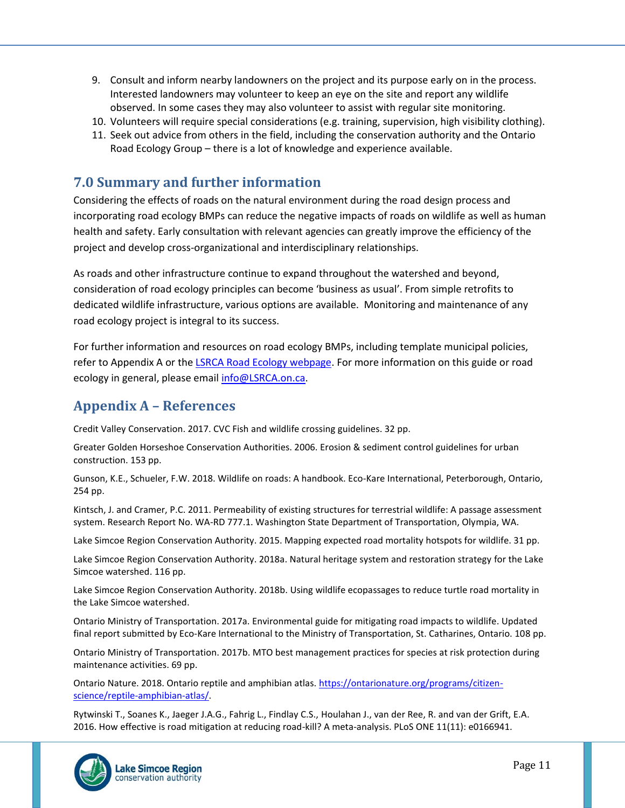- 9. Consult and inform nearby landowners on the project and its purpose early on in the process. Interested landowners may volunteer to keep an eye on the site and report any wildlife observed. In some cases they may also volunteer to assist with regular site monitoring.
- 10. Volunteers will require special considerations (e.g. training, supervision, high visibility clothing).
- 11. Seek out advice from others in the field, including the conservation authority and the Ontario Road Ecology Group – there is a lot of knowledge and experience available.

## **7.0 Summary and further information**

Considering the effects of roads on the natural environment during the road design process and incorporating road ecology BMPs can reduce the negative impacts of roads on wildlife as well as human health and safety. Early consultation with relevant agencies can greatly improve the efficiency of the project and develop cross-organizational and interdisciplinary relationships.

As roads and other infrastructure continue to expand throughout the watershed and beyond, consideration of road ecology principles can become 'business as usual'. From simple retrofits to dedicated wildlife infrastructure, various options are available. Monitoring and maintenance of any road ecology project is integral to its success.

For further information and resources on road ecology BMPs, including template municipal policies, refer to Appendix A or th[e LSRCA Road Ecology webpage.](http://www.lsrca.on.ca/RoadEcology) For more information on this guide or road ecology in general, please email [info@LSRCA.on.ca.](mailto:info@lsrca.on.ca?subject=Road%20Ecology%20Information)

# **Appendix A – References**

Credit Valley Conservation. 2017. CVC Fish and wildlife crossing guidelines. 32 pp.

Greater Golden Horseshoe Conservation Authorities. 2006. Erosion & sediment control guidelines for urban construction. 153 pp.

Gunson, K.E., Schueler, F.W. 2018. Wildlife on roads: A handbook. Eco-Kare International, Peterborough, Ontario, 254 pp.

Kintsch, J. and Cramer, P.C. 2011. Permeability of existing structures for terrestrial wildlife: A passage assessment system. Research Report No. WA-RD 777.1. Washington State Department of Transportation, Olympia, WA.

Lake Simcoe Region Conservation Authority. 2015. Mapping expected road mortality hotspots for wildlife. 31 pp.

Lake Simcoe Region Conservation Authority. 2018a. Natural heritage system and restoration strategy for the Lake Simcoe watershed. 116 pp.

Lake Simcoe Region Conservation Authority. 2018b. Using wildlife ecopassages to reduce turtle road mortality in the Lake Simcoe watershed.

Ontario Ministry of Transportation. 2017a. Environmental guide for mitigating road impacts to wildlife. Updated final report submitted by Eco-Kare International to the Ministry of Transportation, St. Catharines, Ontario. 108 pp.

Ontario Ministry of Transportation. 2017b. MTO best management practices for species at risk protection during maintenance activities. 69 pp.

Ontario Nature. 2018. Ontario reptile and amphibian atlas[. https://ontarionature.org/programs/citizen](https://ontarionature.org/programs/citizen-science/reptile-amphibian-atlas/)[science/reptile-amphibian-atlas/.](https://ontarionature.org/programs/citizen-science/reptile-amphibian-atlas/)

Rytwinski T., Soanes K., Jaeger J.A.G., Fahrig L., Findlay C.S., Houlahan J., van der Ree, R. and van der Grift, E.A. 2016. How effective is road mitigation at reducing road-kill? A meta-analysis. PLoS ONE 11(11): e0166941.